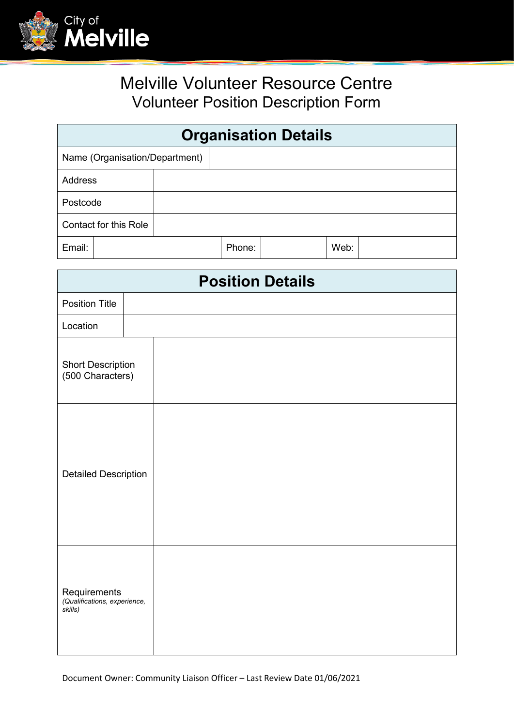

## Melville Volunteer Resource Centre Volunteer Position Description Form

| <b>Organisation Details</b>    |  |        |  |      |  |
|--------------------------------|--|--------|--|------|--|
| Name (Organisation/Department) |  |        |  |      |  |
| <b>Address</b>                 |  |        |  |      |  |
| Postcode                       |  |        |  |      |  |
| Contact for this Role          |  |        |  |      |  |
| Email:                         |  | Phone: |  | Web: |  |

| <b>Position Details</b>                                 |  |  |  |
|---------------------------------------------------------|--|--|--|
| <b>Position Title</b>                                   |  |  |  |
| Location                                                |  |  |  |
| <b>Short Description</b><br>(500 Characters)            |  |  |  |
| <b>Detailed Description</b>                             |  |  |  |
| Requirements<br>(Qualifications, experience,<br>skills) |  |  |  |